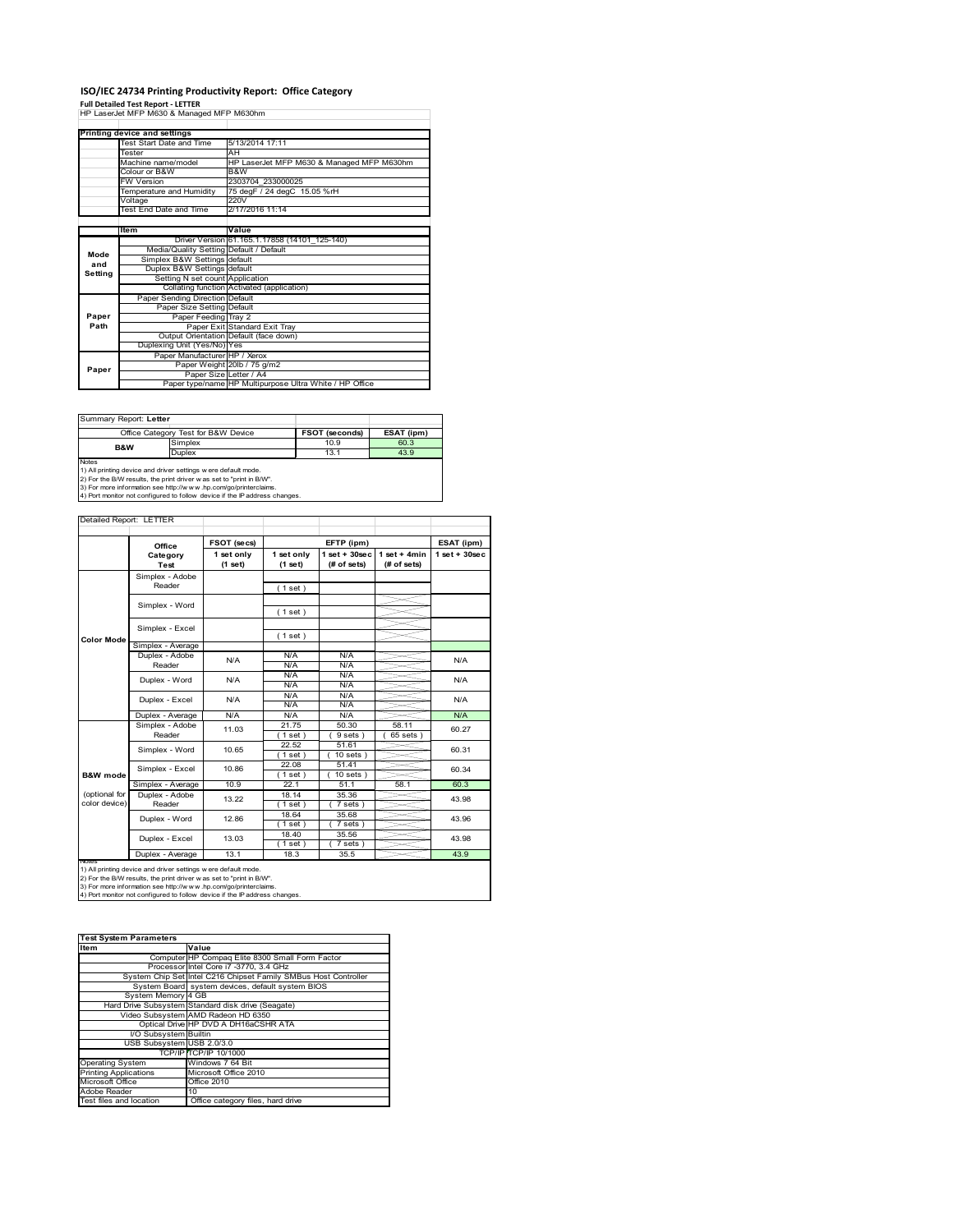# **ISO/IEC 24734 Printing Productivity Report: Office Category**

**Full Detailed Test Report ‐ LETTER** HP LaserJet MFP M630 & Managed MFP M630hm

|         | Printing device and settings            |                                                         |  |  |
|---------|-----------------------------------------|---------------------------------------------------------|--|--|
|         | Test Start Date and Time                | 5/13/2014 17:11                                         |  |  |
|         | Tester                                  | AH                                                      |  |  |
|         | Machine name/model                      | HP LaserJet MFP M630 & Managed MFP M630hm               |  |  |
|         | Colour or B&W                           | B&W                                                     |  |  |
|         | <b>FW Version</b>                       | 2303704 233000025                                       |  |  |
|         | Temperature and Humidity                | 75 degF / 24 degC 15.05 %rH                             |  |  |
|         | Voltage                                 | 220V                                                    |  |  |
|         | <b>Test End Date and Time</b>           | 2/17/2016 11:14                                         |  |  |
|         |                                         |                                                         |  |  |
|         | Item                                    | Value                                                   |  |  |
|         |                                         | Driver Version 61.165.1.17858 (14101 125-140)           |  |  |
| Mode    | Media/Quality Setting Default / Default |                                                         |  |  |
| and     | Simplex B&W Settings default            |                                                         |  |  |
| Setting | Duplex B&W Settings default             |                                                         |  |  |
|         | Setting N set count Application         |                                                         |  |  |
|         |                                         | Collating function Activated (application)              |  |  |
|         | Paper Sending Direction Default         |                                                         |  |  |
|         | Paper Size Setting Default              |                                                         |  |  |
| Paper   | Paper Feeding Tray 2                    |                                                         |  |  |
| Path    |                                         | Paper Exit Standard Exit Tray                           |  |  |
|         |                                         | Output Orientation Default (face down)                  |  |  |
|         | Duplexing Unit (Yes/No) Yes             |                                                         |  |  |
|         | Paper Manufacturer HP / Xerox           |                                                         |  |  |
| Paper   |                                         | Paper Weight 20lb / 75 g/m2                             |  |  |
|         | Paper Size Letter / A4                  |                                                         |  |  |
|         |                                         | Paper type/name HP Multipurpose Ultra White / HP Office |  |  |

| Summary Report: Letter              |                                                                                                                                                                                                                                                                                        |      |      |
|-------------------------------------|----------------------------------------------------------------------------------------------------------------------------------------------------------------------------------------------------------------------------------------------------------------------------------------|------|------|
| Office Category Test for B&W Device | ESAT (ipm)                                                                                                                                                                                                                                                                             |      |      |
| <b>B&amp;W</b>                      | Simplex                                                                                                                                                                                                                                                                                | 10.9 | 60.3 |
|                                     | <b>Duplex</b>                                                                                                                                                                                                                                                                          | 13.1 | 43.9 |
| <b>Notes</b>                        | 1) All printing device and driver settings w ere default mode.<br>2) For the B/W results, the print driver was set to "print in B/W".<br>3) For more information see http://www.hp.com/go/printerclaims.<br>4) Port monitor not configured to follow device if the IP address changes. |      |      |

| Detailed Report: LETTER |                           |                       |                       |                                   |                               |                 |
|-------------------------|---------------------------|-----------------------|-----------------------|-----------------------------------|-------------------------------|-----------------|
|                         |                           |                       |                       |                                   |                               |                 |
|                         | Office                    | FSOT (secs)           |                       | EFTP (ipm)                        |                               | ESAT (ipm)      |
|                         | Category<br>Test          | 1 set only<br>(1 set) | 1 set only<br>(1 set) | $1$ set + $30$ sec<br>(# of sets) | $1$ set + 4min<br>(# of sets) | $1$ set + 30sec |
|                         | Simplex - Adobe           |                       |                       |                                   |                               |                 |
|                         | Reader                    |                       | (1 set)               |                                   |                               |                 |
|                         | Simplex - Word            |                       |                       |                                   |                               |                 |
|                         |                           |                       | (1 set)               |                                   |                               |                 |
|                         | Simplex - Excel           |                       |                       |                                   |                               |                 |
| <b>Color Mode</b>       |                           |                       | (1 set)               |                                   |                               |                 |
|                         | Simplex - Average         |                       |                       |                                   |                               |                 |
|                         | Duplex - Adobe            | N/A                   | N/A                   | N/A                               |                               | N/A             |
|                         | Reader                    |                       | N/A                   | N/A                               |                               |                 |
|                         | Duplex - Word             | N/A                   | N/A<br>N/A            | N/A<br>N/A                        |                               | N/A             |
|                         |                           | N/A                   | N/A                   | N/A                               |                               | N/A             |
|                         | Duplex - Excel            |                       | N/A                   | N/A                               |                               |                 |
|                         | Duplex - Average          | N/A                   | N/A                   | N/A                               |                               | N/A             |
|                         | Simplex - Adobe<br>Reader | 11.03                 | 21.75                 | 50.30                             | 58.11                         | 60.27<br>60.31  |
|                         |                           |                       | $1$ set)              | 9 sets)                           | $65$ sets $)$                 |                 |
|                         | Simplex - Word            | 10.65                 | 22.52                 | 51.61                             |                               |                 |
|                         |                           |                       | $1$ set)              | $10$ sets $)$                     |                               |                 |
|                         | Simplex - Excel           | 10.86                 | 22.08                 | 51.41                             |                               | 60.34           |
| <b>B&amp;W</b> mode     |                           |                       | $1$ set)              | $10 sets$ )                       |                               |                 |
|                         | Simplex - Average         | 10.9                  | 22.1                  | 51.1                              | 58.1                          | 60.3            |
| (optional for           | Duplex - Adobe            | 13.22                 | 18.14                 | 35.36                             |                               | 43.98           |
| color device)           | Reader                    |                       | $1$ set)              | 7 sets)                           |                               |                 |
|                         | Duplex - Word             | 12.86                 | 18.64<br>$1$ set)     | 35.68<br>$7$ sets)                |                               | 43.96           |
|                         | Duplex - Excel            | 13.03                 | 18.40                 | 35.56                             |                               | 43.98           |
|                         |                           |                       | $1$ set)              | $7 sets$ )                        |                               |                 |
|                         | Duplex - Average          | 13.1                  | 18.3                  | 35.5                              |                               | 43.9            |

nations)<br>1) All printing device and driver settings were default mode.<br>2) For the B/W results, the print driver was set to "print in B/W".<br>3) For more information see http://www.hp.com/go/printerclaims.<br>4) Por monitor not

| <b>Test System Parameters</b> |                                                                 |  |  |  |
|-------------------------------|-----------------------------------------------------------------|--|--|--|
| <b>Item</b>                   | Value                                                           |  |  |  |
|                               | Computer HP Compag Elite 8300 Small Form Factor                 |  |  |  |
|                               | Processor Intel Core i7 -3770, 3.4 GHz                          |  |  |  |
|                               | System Chip Set Intel C216 Chipset Family SMBus Host Controller |  |  |  |
|                               | System Board system devices, default system BIOS                |  |  |  |
| System Memory 4 GB            |                                                                 |  |  |  |
|                               | Hard Drive Subsystem Standard disk drive (Seagate)              |  |  |  |
|                               | Video Subsystem AMD Radeon HD 6350                              |  |  |  |
|                               | Optical Drive HP DVD A DH16aCSHR ATA                            |  |  |  |
| I/O Subsystem Builtin         |                                                                 |  |  |  |
| USB Subsystem USB 2.0/3.0     |                                                                 |  |  |  |
|                               | TCP/IPITCP/IP 10/1000                                           |  |  |  |
| <b>Operating System</b>       | Windows 7 64 Bit                                                |  |  |  |
| <b>Printing Applications</b>  | Microsoft Office 2010                                           |  |  |  |
| Microsoft Office              | <b>Office 2010</b>                                              |  |  |  |
| Adobe Reader                  | 10                                                              |  |  |  |
| Test files and location       | Office category files, hard drive                               |  |  |  |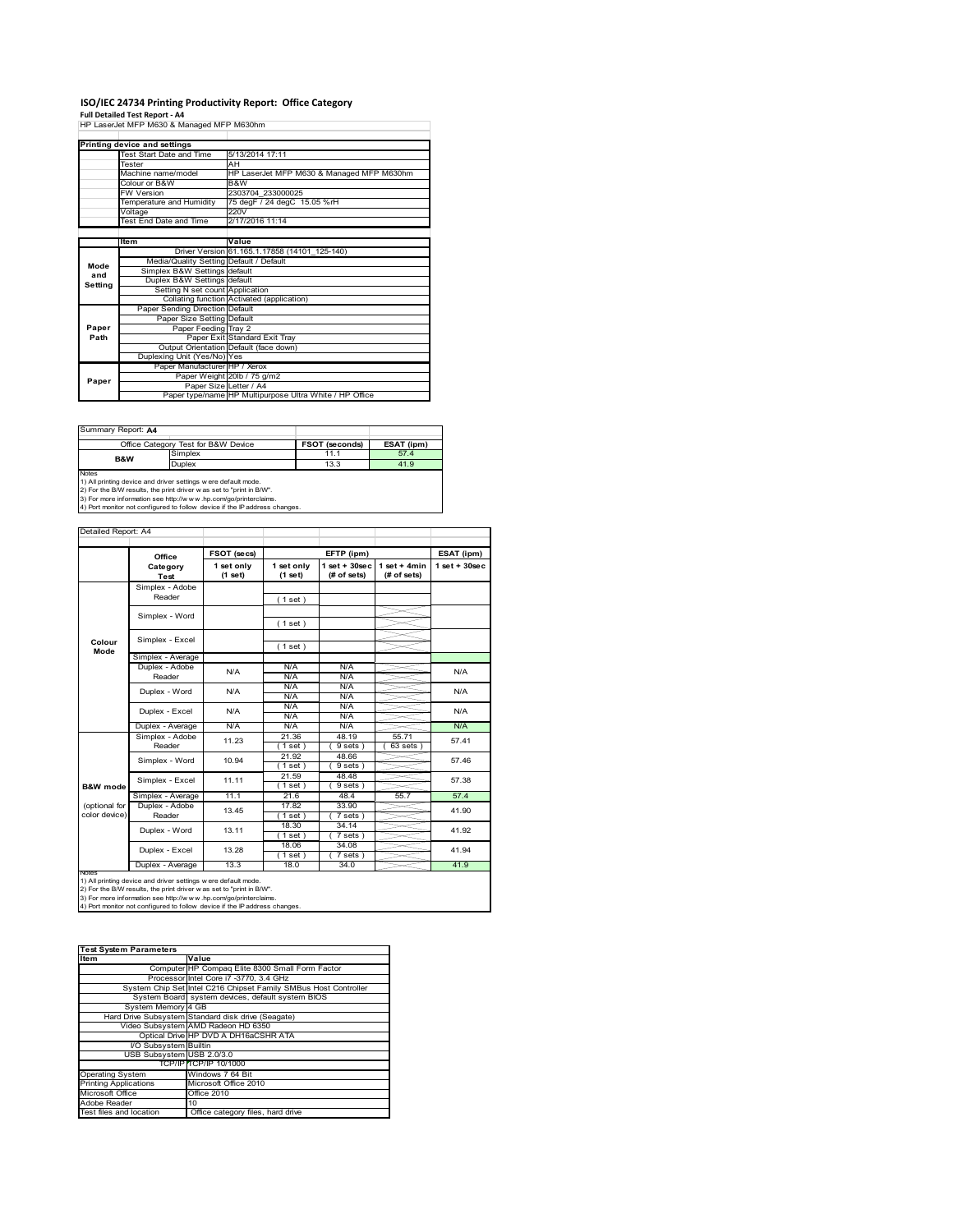# **ISO/IEC 24734 Printing Productivity Report: Office Category Full Detailed Test Report ‐ A4** HP LaserJet MFP M630 & Managed MFP M630hm

|         | Printing device and settings            |                                                         |  |  |
|---------|-----------------------------------------|---------------------------------------------------------|--|--|
|         | Test Start Date and Time                | 5/13/2014 17:11                                         |  |  |
|         | Tester                                  | AН                                                      |  |  |
|         | Machine name/model                      | HP LaserJet MFP M630 & Managed MFP M630hm               |  |  |
|         | Colour or B&W                           | B&W                                                     |  |  |
|         | <b>FW Version</b>                       | 2303704 233000025                                       |  |  |
|         | Temperature and Humidity                | 75 degF / 24 degC 15.05 %rH                             |  |  |
|         | Voltage                                 | 220V                                                    |  |  |
|         | Test End Date and Time                  | 2/17/2016 11:14                                         |  |  |
|         |                                         |                                                         |  |  |
|         | Item                                    | Value                                                   |  |  |
|         |                                         | Driver Version 61.165.1.17858 (14101_125-140)           |  |  |
| Mode    | Media/Quality Setting Default / Default |                                                         |  |  |
| and     | Simplex B&W Settings default            |                                                         |  |  |
| Setting | Duplex B&W Settings default             |                                                         |  |  |
|         | Setting N set count Application         |                                                         |  |  |
|         |                                         | Collating function Activated (application)              |  |  |
|         | Paper Sending Direction Default         |                                                         |  |  |
|         | Paper Size Setting Default              |                                                         |  |  |
| Paper   | Paper Feeding Tray 2                    |                                                         |  |  |
| Path    |                                         | Paper Exit Standard Exit Tray                           |  |  |
|         |                                         | Output Orientation Default (face down)                  |  |  |
|         | Duplexing Unit (Yes/No) Yes             |                                                         |  |  |
|         | Paper Manufacturer HP / Xerox           |                                                         |  |  |
| Paper   |                                         | Paper Weight 20lb / 75 g/m2                             |  |  |
|         |                                         | Paper Size Letter / A4                                  |  |  |
|         |                                         | Paper type/name HP Multipurpose Ultra White / HP Office |  |  |

| Summary Report: A4                                             |                                                                   |                       |            |  |  |  |  |
|----------------------------------------------------------------|-------------------------------------------------------------------|-----------------------|------------|--|--|--|--|
|                                                                | Office Category Test for B&W Device                               | <b>FSOT (seconds)</b> | ESAT (ipm) |  |  |  |  |
| <b>B&amp;W</b>                                                 | Simplex                                                           | 11.1                  | 57.4       |  |  |  |  |
|                                                                | Duplex                                                            | 13.3                  | 41.9       |  |  |  |  |
| <b>Notes</b>                                                   |                                                                   |                       |            |  |  |  |  |
| 1) All printing device and driver settings w ere default mode. |                                                                   |                       |            |  |  |  |  |
|                                                                | 2) For the BAN reculte the print driver was eat to "print in BAN" |                       |            |  |  |  |  |

2) For the B/W results, the print driver w as set to "print in B/W".<br>3) For more information see http://w w w .hp.com/go/printerclaims.<br>4) Port monitor not configured to follow device if the IP address changes.

|                                                  | Office            | FSOT (secs)<br>EFTP (ipm) |                       | ESAT (ipm)                        |                               |                 |  |
|--------------------------------------------------|-------------------|---------------------------|-----------------------|-----------------------------------|-------------------------------|-----------------|--|
|                                                  | Category<br>Test  | 1 set only<br>(1 set)     | 1 set only<br>(1 set) | $1$ set + $30$ sec<br>(# of sets) | $1$ set + 4min<br>(# of sets) | $1$ set + 30sec |  |
|                                                  | Simplex - Adobe   |                           |                       |                                   |                               |                 |  |
|                                                  | Reader            |                           | (1 set)               |                                   |                               |                 |  |
|                                                  | Simplex - Word    |                           |                       |                                   |                               |                 |  |
|                                                  |                   |                           | (1 set)               |                                   |                               |                 |  |
| Colour                                           | Simplex - Excel   |                           |                       |                                   |                               |                 |  |
| Mode                                             |                   |                           | (1 set)               |                                   |                               |                 |  |
|                                                  | Simplex - Average |                           |                       |                                   |                               |                 |  |
|                                                  | Duplex - Adobe    | N/A                       | N/A                   | N/A                               |                               | N/A             |  |
|                                                  | Reader            |                           | N/A                   | N/A                               |                               |                 |  |
|                                                  | Duplex - Word     | N/A                       | N/A                   | N/A                               |                               | N/A             |  |
|                                                  |                   |                           | N/A                   | N/A                               |                               |                 |  |
|                                                  | Duplex - Excel    | N/A                       | N/A                   | N/A                               |                               | N/A             |  |
|                                                  |                   |                           | N/A                   | N/A                               |                               |                 |  |
|                                                  | Duplex - Average  | N/A                       | N/A                   | N/A                               |                               | N/A             |  |
|                                                  | Simplex - Adobe   | 11.23                     | 21.36                 | 48.19                             | 55.71                         | 57.41           |  |
|                                                  | Reader            |                           | $1$ set)              | $9 sets$ )                        | 63 sets                       |                 |  |
|                                                  | Simplex - Word    | 10.94                     | 21.92                 | 48.66                             |                               | 57.46           |  |
|                                                  |                   |                           | (1 set)               | 9 sets)                           |                               |                 |  |
|                                                  | Simplex - Excel   | 11.11                     | 21.59                 | 48.48                             |                               | 57.38           |  |
| <b>B&amp;W</b> mode                              |                   |                           | $1$ set)              | 9 sets)                           |                               |                 |  |
|                                                  | Simplex - Average | 11.1                      | 21.6                  | 48.4                              | 55.7                          | 57.4            |  |
| (optional for                                    | Duplex - Adobe    | 13.45                     | 17.82                 | 33.90                             |                               | 41.90           |  |
| color device)                                    | Reader            |                           | $1$ set               | $7 sets$ )                        |                               |                 |  |
|                                                  | Duplex - Word     | 13.11                     | 18.30                 | 34.14                             |                               | 41.92           |  |
|                                                  |                   |                           | (1 set)               | $7 sets$ )                        |                               |                 |  |
|                                                  | Duplex - Excel    | 13.28                     | 18.06                 | 34.08                             |                               | 41.94           |  |
|                                                  |                   |                           | (1 set)               | $7 sets$ )                        |                               |                 |  |
| 41.9<br>Duplex - Average<br>13.3<br>34.0<br>18.0 |                   |                           |                       |                                   |                               |                 |  |

| <b>Test System Parameters</b> |                                                                 |  |  |
|-------------------------------|-----------------------------------------------------------------|--|--|
| <b>Item</b>                   | Value                                                           |  |  |
|                               | Computer HP Compag Elite 8300 Small Form Factor                 |  |  |
|                               | Processor Intel Core i7 -3770, 3.4 GHz                          |  |  |
|                               | System Chip Set Intel C216 Chipset Family SMBus Host Controller |  |  |
|                               | System Board system devices, default system BIOS                |  |  |
| System Memory 4 GB            |                                                                 |  |  |
|                               | Hard Drive Subsystem Standard disk drive (Seagate)              |  |  |
|                               | Video Subsystem AMD Radeon HD 6350                              |  |  |
|                               | Optical Drive HP DVD A DH16aCSHR ATA                            |  |  |
| I/O Subsystem Builtin         |                                                                 |  |  |
| USB Subsystem USB 2.0/3.0     |                                                                 |  |  |
|                               | TCP/IP TCP/IP 10/1000                                           |  |  |
| <b>Operating System</b>       | Windows 7 64 Bit                                                |  |  |
| <b>Printing Applications</b>  | Microsoft Office 2010                                           |  |  |
| Microsoft Office              | <b>Office 2010</b>                                              |  |  |
| Adobe Reader                  | 10                                                              |  |  |
| Test files and location       | Office category files, hard drive                               |  |  |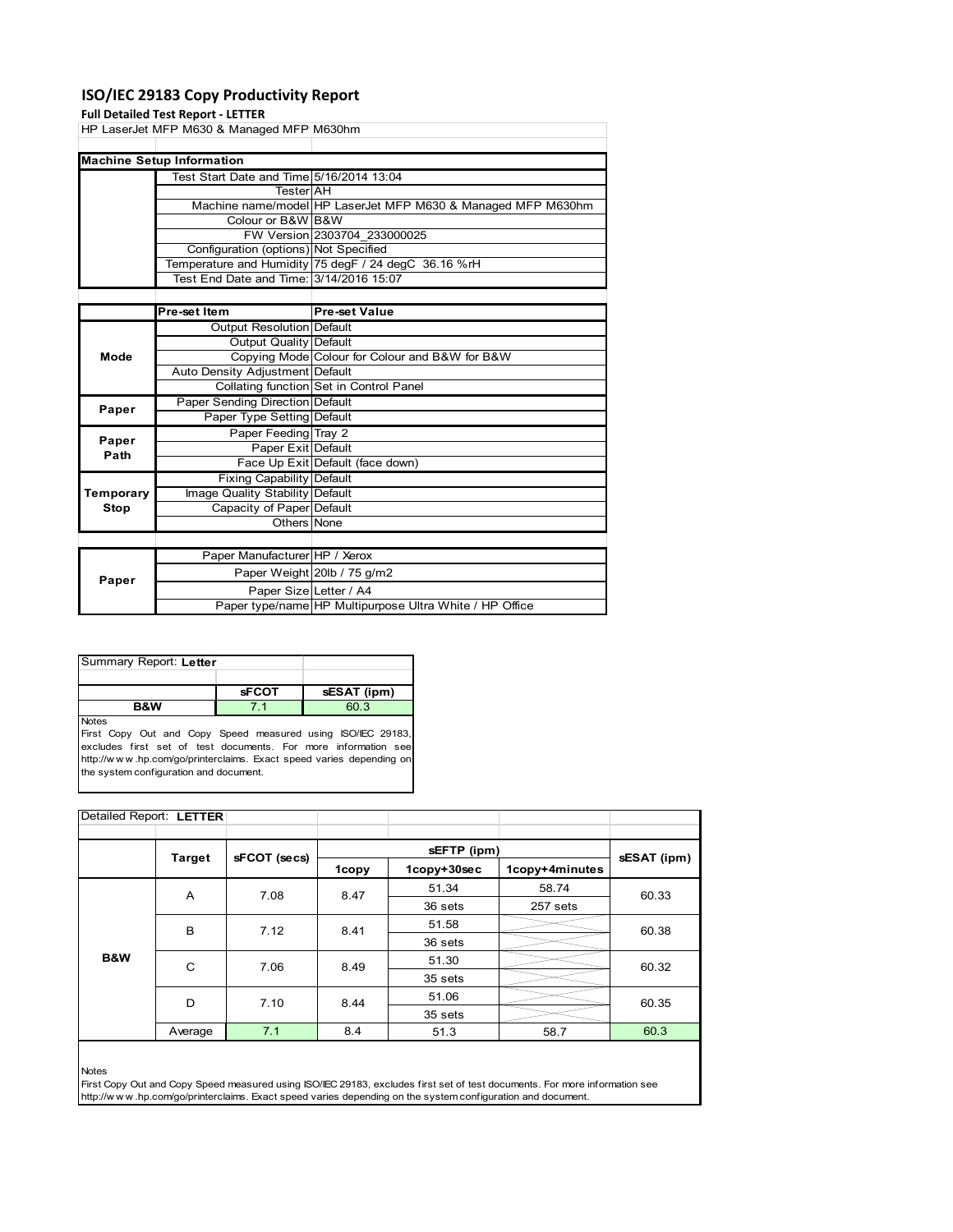# **ISO/IEC 29183 Copy Productivity Report**

### **Full Detailed Test Report ‐ LETTER**

|      | HP LaserJet MFP M630 & Managed MFP M630hm |                                                              |
|------|-------------------------------------------|--------------------------------------------------------------|
|      |                                           |                                                              |
|      | <b>Machine Setup Information</b>          |                                                              |
|      | Test Start Date and Time 5/16/2014 13:04  |                                                              |
|      | TesterIAH                                 |                                                              |
|      |                                           | Machine name/model HP LaserJet MFP M630 & Managed MFP M630hm |
|      | Colour or B&W B&W                         |                                                              |
|      |                                           | FW Version 2303704 233000025                                 |
|      | Configuration (options) Not Specified     |                                                              |
|      |                                           | Temperature and Humidity 75 degF / 24 degC 36.16 %rH         |
|      | Test End Date and Time: 3/14/2016 15:07   |                                                              |
|      |                                           |                                                              |
|      | Pre-set Item                              | <b>Pre-set Value</b>                                         |
|      | Output Resolution Default                 |                                                              |
|      | Output Quality Default                    |                                                              |
| Mode |                                           | Copying Mode Colour for Colour and B&W for B&W               |
|      | Auto Density Adjustment Default           |                                                              |
|      |                                           | Collating function Set in Control Panel                      |

|           |                                 | Collating function Set in Control Panel                 |
|-----------|---------------------------------|---------------------------------------------------------|
| Paper     | Paper Sending Direction Default |                                                         |
|           | Paper Type Setting Default      |                                                         |
| Paper     | Paper Feeding Tray 2            |                                                         |
| Path      | Paper Exit Default              |                                                         |
|           |                                 | Face Up Exit Default (face down)                        |
|           | Fixing Capability Default       |                                                         |
| Temporary | Image Quality Stability Default |                                                         |
| Stop      | Capacity of Paper Default       |                                                         |
|           | Others None                     |                                                         |
|           |                                 |                                                         |
|           | Paper Manufacturer HP / Xerox   |                                                         |
| Paper     |                                 | Paper Weight 20lb / 75 g/m2                             |
|           | Paper Size Letter / A4          |                                                         |
|           |                                 | Paper type/name HP Multipurpose Ultra White / HP Office |

| Summary Report: Letter |              |             |  |  |  |
|------------------------|--------------|-------------|--|--|--|
|                        |              |             |  |  |  |
|                        | <b>sFCOT</b> | sESAT (ipm) |  |  |  |
| <b>B&amp;W</b>         |              | 60 3        |  |  |  |
| <b>Notes</b>           |              |             |  |  |  |

First Copy Out and Copy Speed measured using ISO/IEC 29183, excludes first set of test documents. For more information see http://w w w .hp.com/go/printerclaims. Exact speed varies depending on the system configuration and document.

| Detailed Report: LETTER |           |              |       |             |                |             |  |
|-------------------------|-----------|--------------|-------|-------------|----------------|-------------|--|
|                         |           |              |       |             |                |             |  |
| <b>Target</b>           |           | sFCOT (secs) |       | sEFTP (ipm) |                |             |  |
|                         |           |              | 1copy | 1copy+30sec | 1copy+4minutes | sESAT (ipm) |  |
|                         | A         | 7.08         | 8.47  | 51.34       | 58.74          | 60.33       |  |
|                         |           |              |       | 36 sets     | 257 sets       |             |  |
|                         | B         | 7.12         | 8.41  | 51.58       |                | 60.38       |  |
|                         |           |              |       | 36 sets     |                |             |  |
| B&W                     | C<br>7.06 |              | 8.49  | 51.30       |                | 60.32       |  |
|                         |           |              |       | 35 sets     |                |             |  |
|                         | D         | 7.10         | 8.44  | 51.06       |                | 60.35       |  |
|                         |           |              |       | 35 sets     |                |             |  |
|                         | Average   | 7.1          | 8.4   | 51.3        | 58.7           | 60.3        |  |

Notes

First Copy Out and Copy Speed measured using ISO/IEC 29183, excludes first set of test documents. For more information see http://w w w .hp.com/go/printerclaims. Exact speed varies depending on the system configuration and document.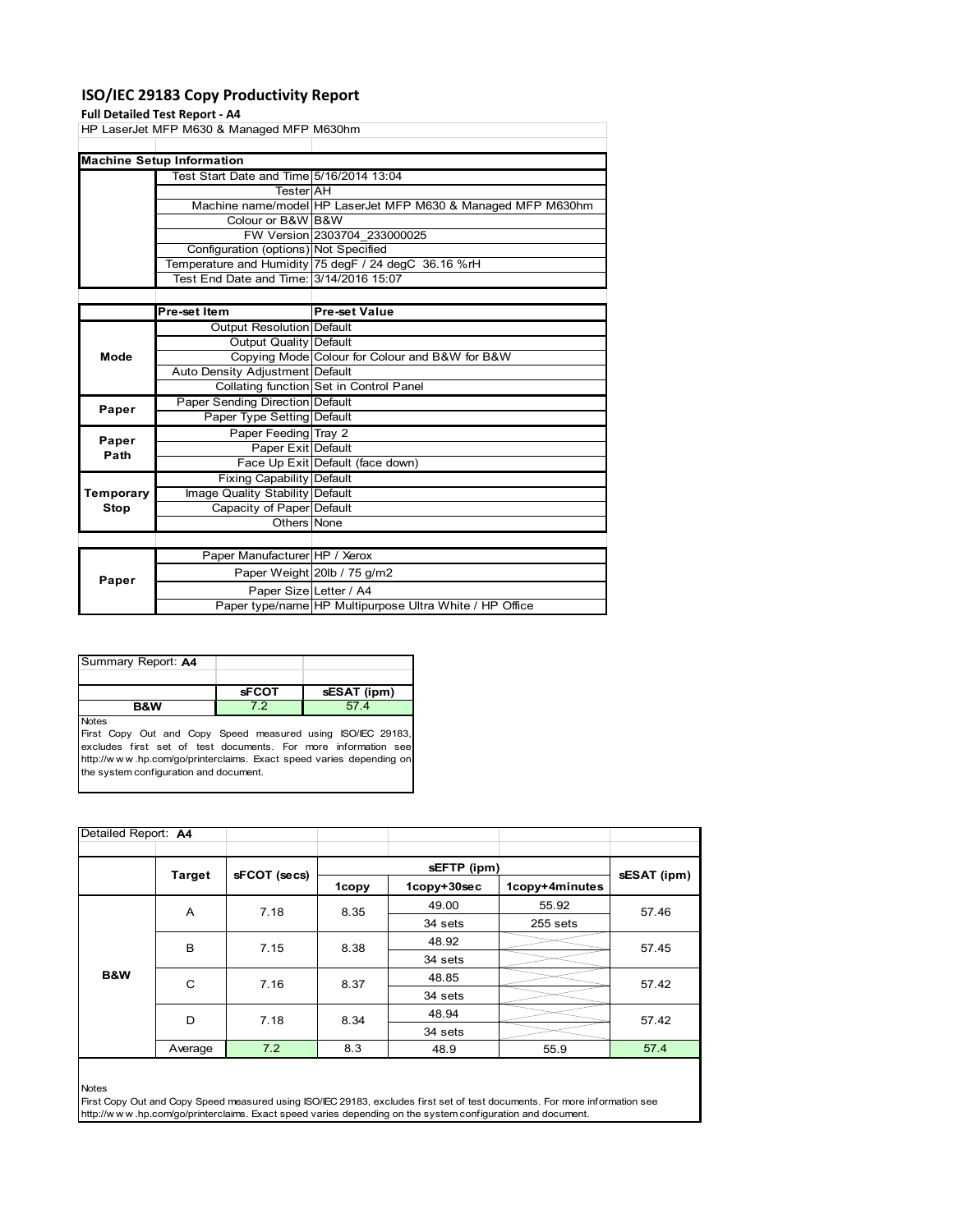# **ISO/IEC 29183 Copy Productivity Report**

### **Full Detailed Test Report ‐ A4**

| HP LaserJet MFP M630 & Managed MFP M630hm |                                          |                                                              |  |  |  |
|-------------------------------------------|------------------------------------------|--------------------------------------------------------------|--|--|--|
|                                           |                                          |                                                              |  |  |  |
|                                           | <b>Machine Setup Information</b>         |                                                              |  |  |  |
|                                           | Test Start Date and Time 5/16/2014 13:04 |                                                              |  |  |  |
|                                           | TesterIAH                                |                                                              |  |  |  |
|                                           |                                          | Machine name/model HP LaserJet MFP M630 & Managed MFP M630hm |  |  |  |
|                                           | Colour or B&W B&W                        |                                                              |  |  |  |
|                                           |                                          | FW Version 2303704 233000025                                 |  |  |  |
|                                           | Configuration (options) Not Specified    |                                                              |  |  |  |
|                                           |                                          | Temperature and Humidity 75 degF / 24 degC 36.16 %rH         |  |  |  |
|                                           | Test End Date and Time: 3/14/2016 15:07  |                                                              |  |  |  |
|                                           |                                          |                                                              |  |  |  |
|                                           | Pre-set Item                             | <b>Pre-set Value</b>                                         |  |  |  |
|                                           | <b>Output Resolution Default</b>         |                                                              |  |  |  |
|                                           | Output Quality Default                   |                                                              |  |  |  |
| Mode                                      |                                          | Copying Mode Colour for Colour and B&W for B&W               |  |  |  |
|                                           | Auto Density Adjustment Default          |                                                              |  |  |  |
|                                           |                                          | Collating function Set in Control Panel                      |  |  |  |

| Paper     | Paper Sending Direction Default  |                                                         |  |  |
|-----------|----------------------------------|---------------------------------------------------------|--|--|
|           | Paper Type Setting Default       |                                                         |  |  |
| Paper     | Paper Feeding Tray 2             |                                                         |  |  |
| Path      | Paper Exit Default               |                                                         |  |  |
|           |                                  | Face Up Exit Default (face down)                        |  |  |
|           | <b>Fixing Capability Default</b> |                                                         |  |  |
| Temporary | Image Quality Stability Default  |                                                         |  |  |
| Stop      | Capacity of Paper Default        |                                                         |  |  |
|           | Others None                      |                                                         |  |  |
|           |                                  |                                                         |  |  |
|           | Paper Manufacturer HP / Xerox    |                                                         |  |  |
| Paper     |                                  | Paper Weight 20lb / 75 g/m2                             |  |  |
|           | Paper Size Letter / A4           |                                                         |  |  |
|           |                                  | Paper type/name HP Multipurpose Ultra White / HP Office |  |  |

 $\overline{\phantom{a}}$ 

| Summary Report: A4 |              |             |
|--------------------|--------------|-------------|
|                    |              |             |
|                    | <b>sFCOT</b> | sESAT (ipm) |
| <b>B&amp;W</b>     | 72           | 57.4        |
| <b>Notes</b>       |              |             |

First Copy Out and Copy Speed measured using ISO/IEC 29183, excludes first set of test documents. For more information see http://w w w .hp.com/go/printerclaims. Exact speed varies depending on the system configuration and document.

| Detailed Report: A4 |         |              |       |             |                |       |  |
|---------------------|---------|--------------|-------|-------------|----------------|-------|--|
| Target              |         | sFCOT (secs) |       | sESAT (ipm) |                |       |  |
|                     |         |              | 1copy | 1copy+30sec | 1copy+4minutes |       |  |
|                     | A       | 7.18         | 8.35  | 49.00       | 55.92          | 57.46 |  |
|                     |         |              |       | 34 sets     | 255 sets       |       |  |
|                     | B       | 7.15         | 8.38  | 48.92       |                | 57.45 |  |
|                     |         |              |       | 34 sets     |                |       |  |
| B&W                 | C       | 7.16         | 8.37  | 48.85       |                | 57.42 |  |
|                     |         |              |       | 34 sets     |                |       |  |
|                     | D       | 7.18         | 8.34  | 48.94       |                | 57.42 |  |
|                     |         |              |       | 34 sets     |                |       |  |
|                     | Average | 7.2          | 8.3   | 48.9        | 55.9           | 57.4  |  |

Notes

First Copy Out and Copy Speed measured using ISO/IEC 29183, excludes first set of test documents. For more information see http://w w w .hp.com/go/printerclaims. Exact speed varies depending on the system configuration and document.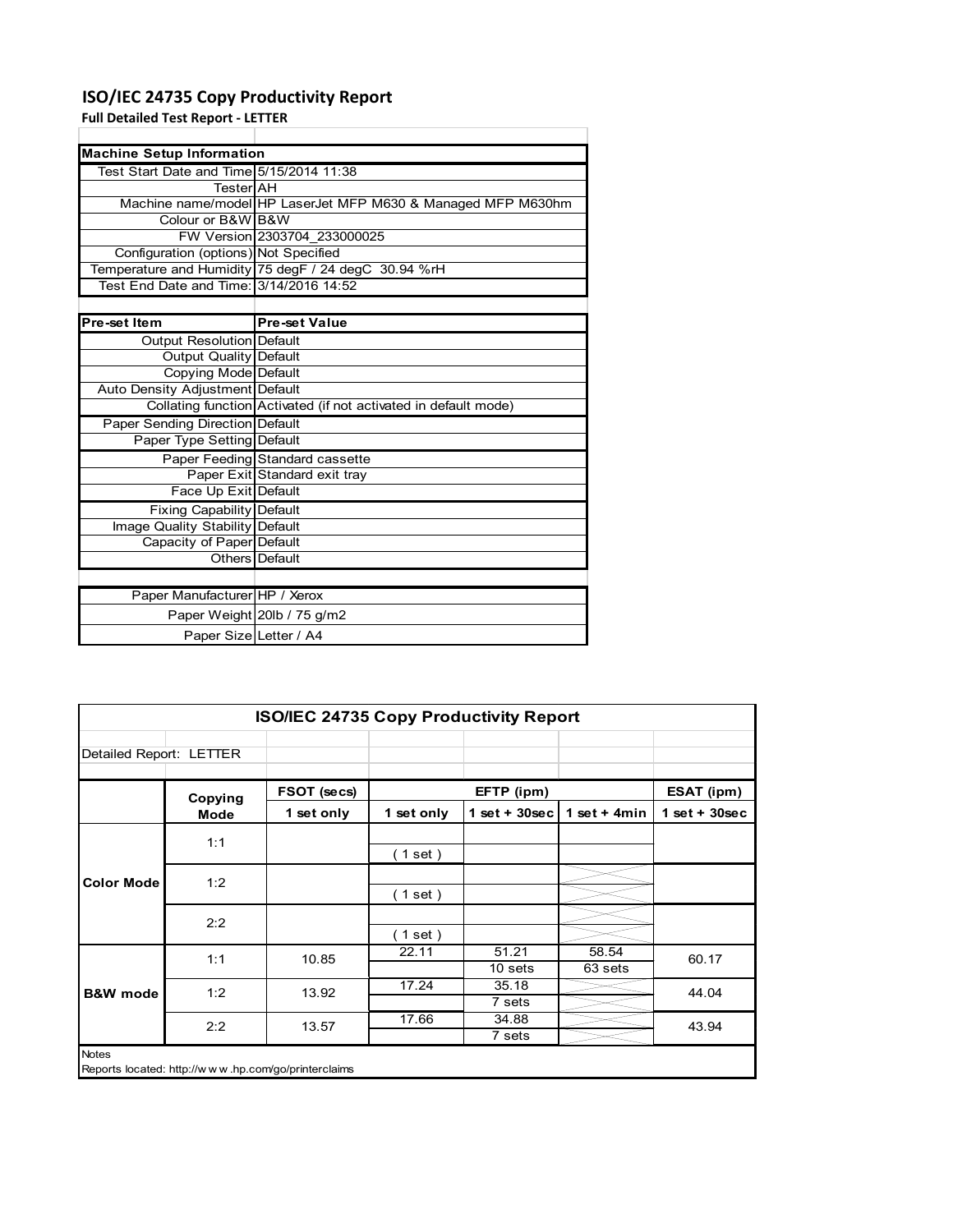# **ISO/IEC 24735 Copy Productivity Report**

Paper Manufacturer HP / Xerox

**Full Detailed Test Report ‐ LETTER**

| <b>Machine Setup Information</b>           |                                                                 |
|--------------------------------------------|-----------------------------------------------------------------|
| Test Start Date and Time 5/15/2014 11:38   |                                                                 |
| <b>Tester</b> AH                           |                                                                 |
|                                            | Machine name/model HP LaserJet MFP M630 & Managed MFP M630hm    |
| Colour or B&W B&W                          |                                                                 |
|                                            | FW Version 2303704 233000025                                    |
| Configuration (options) Not Specified      |                                                                 |
|                                            | Temperature and Humidity 75 degF / 24 degC 30.94 %rH            |
| Test    End Date and Time: 3/14/2016 14:52 |                                                                 |
|                                            |                                                                 |
| Pre-set Item                               | <b>Pre-set Value</b>                                            |
| Output Resolution Default                  |                                                                 |
| Output Quality Default                     |                                                                 |
| Copying Mode Default                       |                                                                 |
| Auto Density Adjustment Default            |                                                                 |
|                                            | Collating function Activated (if not activated in default mode) |
| Paper Sending Direction Default            |                                                                 |
| Paper Type Setting Default                 |                                                                 |
|                                            | Paper Feeding Standard cassette                                 |
|                                            | Paper Exit Standard exit tray                                   |
| Face Up Exit Default                       |                                                                 |
| <b>Fixing Capability Default</b>           |                                                                 |
| Image Quality Stability Default            |                                                                 |
| Capacity of Paper Default                  |                                                                 |
|                                            | Others Default                                                  |

|                         |                        | Paper Weight 20lb / 75 g/m2                   |                          |                  |                |                |
|-------------------------|------------------------|-----------------------------------------------|--------------------------|------------------|----------------|----------------|
|                         | Paper Size Letter / A4 |                                               |                          |                  |                |                |
|                         |                        |                                               |                          |                  |                |                |
|                         |                        |                                               |                          |                  |                |                |
|                         |                        | <b>ISO/IEC 24735 Copy Productivity Report</b> |                          |                  |                |                |
| Detailed Report: LETTER |                        |                                               |                          |                  |                |                |
|                         | Copying                | FSOT (secs)                                   |                          | EFTP (ipm)       |                | ESAT (ipm)     |
|                         | <b>Mode</b>            | 1 set only                                    | 1 set only               | 1 set + $30$ sec | 1 set + $4min$ | $1$ set + 30se |
|                         | 1:1                    |                                               |                          |                  |                |                |
|                         |                        |                                               | $\left( 1$ set $\right)$ |                  |                |                |
| <b>Color Mode</b>       | 1:2                    |                                               |                          |                  |                |                |
|                         |                        |                                               | (1 set)                  |                  |                |                |
|                         |                        |                                               |                          |                  |                |                |

**1 set only 1 set only 1 set + 30sec 1 set + 4min 1 set + 30sec**

|                     | 2.2                                                 |       | $1$ set |         |         |       |
|---------------------|-----------------------------------------------------|-------|---------|---------|---------|-------|
|                     | 1:1                                                 | 10.85 | 22.11   | 51.21   | 58.54   | 60.17 |
|                     |                                                     |       |         | 10 sets | 63 sets |       |
| <b>B&amp;W</b> mode | 1:2                                                 | 13.92 | 17.24   | 35.18   |         | 44.04 |
|                     |                                                     |       |         | 7 sets  |         |       |
|                     | 2:2                                                 | 13.57 | 17.66   | 34.88   |         | 43.94 |
|                     |                                                     |       |         | 7 sets  |         |       |
| Notes               | Reports located: http://www.hp.com/go/printerclaims |       |         |         |         |       |